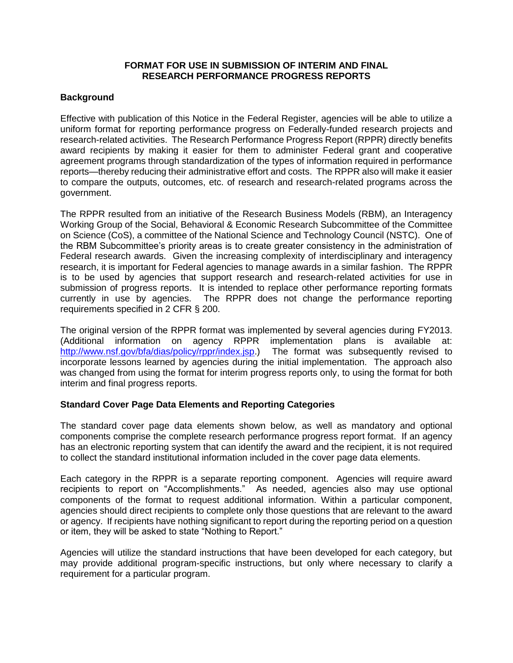### **FORMAT FOR USE IN SUBMISSION OF INTERIM AND FINAL RESEARCH PERFORMANCE PROGRESS REPORTS**

## **Background**

Effective with publication of this Notice in the Federal Register, agencies will be able to utilize a uniform format for reporting performance progress on Federally-funded research projects and research-related activities. The Research Performance Progress Report (RPPR) directly benefits award recipients by making it easier for them to administer Federal grant and cooperative agreement programs through standardization of the types of information required in performance reports—thereby reducing their administrative effort and costs. The RPPR also will make it easier to compare the outputs, outcomes, etc. of research and research-related programs across the government.

The RPPR resulted from an initiative of the Research Business Models (RBM), an Interagency Working Group of the Social, Behavioral & Economic Research Subcommittee of the Committee on Science (CoS), a committee of the National Science and Technology Council (NSTC). One of the RBM Subcommittee's priority areas is to create greater consistency in the administration of Federal research awards. Given the increasing complexity of interdisciplinary and interagency research, it is important for Federal agencies to manage awards in a similar fashion. The RPPR is to be used by agencies that support research and research-related activities for use in submission of progress reports. It is intended to replace other performance reporting formats currently in use by agencies. The RPPR does not change the performance reporting requirements specified in 2 CFR § 200.

The original version of the RPPR format was implemented by several agencies during FY2013. (Additional information on agency RPPR implementation plans is available at: [http://www.nsf.gov/bfa/dias/policy/rppr/index.jsp.](http://www.nsf.gov/bfa/dias/policy/rppr/index.jsp)) The format was subsequently revised to incorporate lessons learned by agencies during the initial implementation. The approach also was changed from using the format for interim progress reports only, to using the format for both interim and final progress reports.

## **Standard Cover Page Data Elements and Reporting Categories**

The standard cover page data elements shown below, as well as mandatory and optional components comprise the complete research performance progress report format. If an agency has an electronic reporting system that can identify the award and the recipient, it is not required to collect the standard institutional information included in the cover page data elements.

Each category in the RPPR is a separate reporting component. Agencies will require award recipients to report on "Accomplishments." As needed, agencies also may use optional components of the format to request additional information. Within a particular component, agencies should direct recipients to complete only those questions that are relevant to the award or agency. If recipients have nothing significant to report during the reporting period on a question or item, they will be asked to state "Nothing to Report."

Agencies will utilize the standard instructions that have been developed for each category, but may provide additional program-specific instructions, but only where necessary to clarify a requirement for a particular program.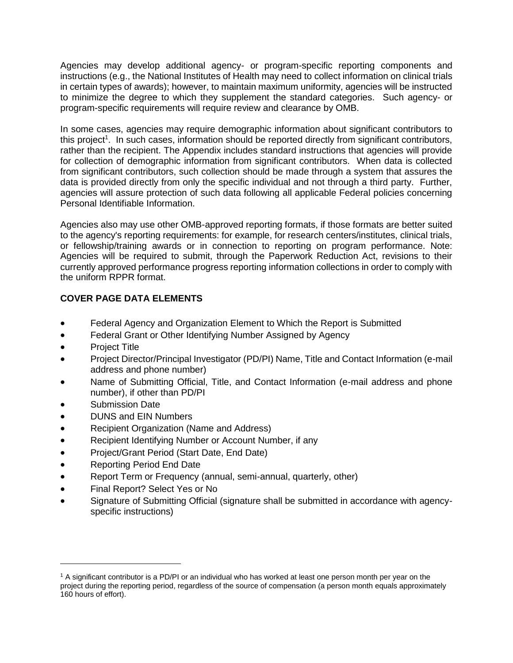Agencies may develop additional agency- or program-specific reporting components and instructions (e.g., the National Institutes of Health may need to collect information on clinical trials in certain types of awards); however, to maintain maximum uniformity, agencies will be instructed to minimize the degree to which they supplement the standard categories. Such agency- or program-specific requirements will require review and clearance by OMB.

In some cases, agencies may require demographic information about significant contributors to this project<sup>1</sup>. In such cases, information should be reported directly from significant contributors, rather than the recipient. The Appendix includes standard instructions that agencies will provide for collection of demographic information from significant contributors. When data is collected from significant contributors, such collection should be made through a system that assures the data is provided directly from only the specific individual and not through a third party. Further, agencies will assure protection of such data following all applicable Federal policies concerning Personal Identifiable Information.

Agencies also may use other OMB-approved reporting formats, if those formats are better suited to the agency's reporting requirements: for example, for research centers/institutes, clinical trials, or fellowship/training awards or in connection to reporting on program performance. Note: Agencies will be required to submit, through the Paperwork Reduction Act, revisions to their currently approved performance progress reporting information collections in order to comply with the uniform RPPR format.

## **COVER PAGE DATA ELEMENTS**

- Federal Agency and Organization Element to Which the Report is Submitted
- Federal Grant or Other Identifying Number Assigned by Agency
- Project Title
- Project Director/Principal Investigator (PD/PI) Name, Title and Contact Information (e-mail address and phone number)
- Name of Submitting Official, Title, and Contact Information (e-mail address and phone number), if other than PD/PI
- Submission Date
- DUNS and EIN Numbers
- Recipient Organization (Name and Address)
- Recipient Identifying Number or Account Number, if any
- Project/Grant Period (Start Date, End Date)
- Reporting Period End Date
- Report Term or Frequency (annual, semi-annual, quarterly, other)
- Final Report? Select Yes or No
- Signature of Submitting Official (signature shall be submitted in accordance with agencyspecific instructions)

<sup>1</sup> A significant contributor is a PD/PI or an individual who has worked at least one person month per year on the project during the reporting period, regardless of the source of compensation (a person month equals approximately 160 hours of effort).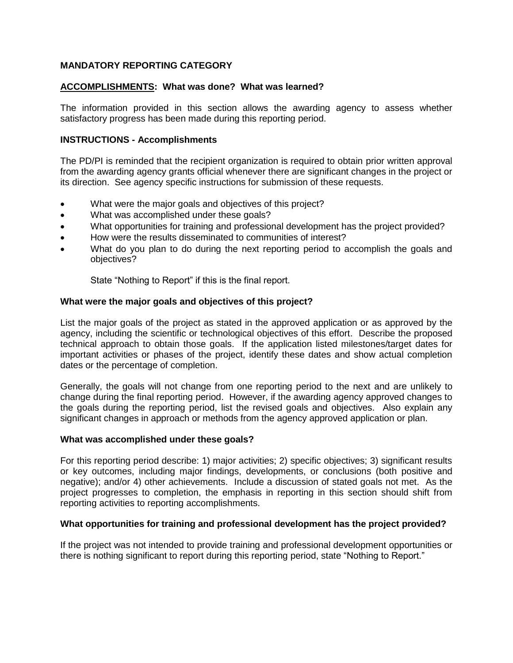## **MANDATORY REPORTING CATEGORY**

## **ACCOMPLISHMENTS: What was done? What was learned?**

The information provided in this section allows the awarding agency to assess whether satisfactory progress has been made during this reporting period.

### **INSTRUCTIONS - Accomplishments**

The PD/PI is reminded that the recipient organization is required to obtain prior written approval from the awarding agency grants official whenever there are significant changes in the project or its direction. See agency specific instructions for submission of these requests.

- What were the major goals and objectives of this project?
- What was accomplished under these goals?
- What opportunities for training and professional development has the project provided?
- How were the results disseminated to communities of interest?
- What do you plan to do during the next reporting period to accomplish the goals and objectives?

State "Nothing to Report" if this is the final report.

### **What were the major goals and objectives of this project?**

List the major goals of the project as stated in the approved application or as approved by the agency, including the scientific or technological objectives of this effort. Describe the proposed technical approach to obtain those goals. If the application listed milestones/target dates for important activities or phases of the project, identify these dates and show actual completion dates or the percentage of completion.

Generally, the goals will not change from one reporting period to the next and are unlikely to change during the final reporting period. However, if the awarding agency approved changes to the goals during the reporting period, list the revised goals and objectives. Also explain any significant changes in approach or methods from the agency approved application or plan.

#### **What was accomplished under these goals?**

For this reporting period describe: 1) major activities; 2) specific objectives; 3) significant results or key outcomes, including major findings, developments, or conclusions (both positive and negative); and/or 4) other achievements. Include a discussion of stated goals not met. As the project progresses to completion, the emphasis in reporting in this section should shift from reporting activities to reporting accomplishments.

#### **What opportunities for training and professional development has the project provided?**

If the project was not intended to provide training and professional development opportunities or there is nothing significant to report during this reporting period, state "Nothing to Report."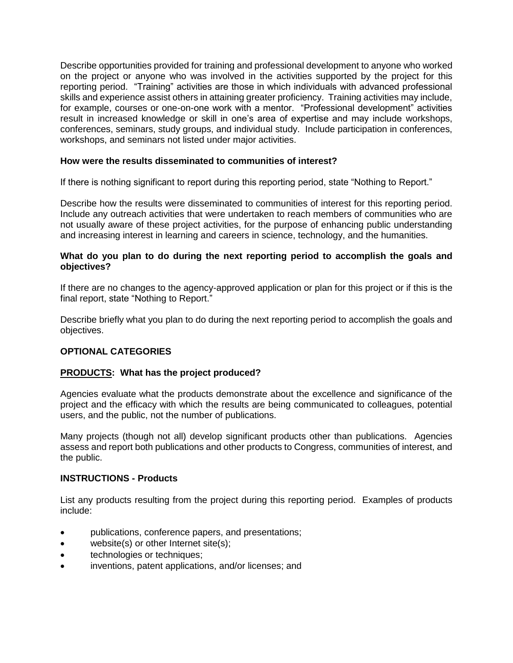Describe opportunities provided for training and professional development to anyone who worked on the project or anyone who was involved in the activities supported by the project for this reporting period. "Training" activities are those in which individuals with advanced professional skills and experience assist others in attaining greater proficiency. Training activities may include, for example, courses or one-on-one work with a mentor. "Professional development" activities result in increased knowledge or skill in one's area of expertise and may include workshops, conferences, seminars, study groups, and individual study. Include participation in conferences, workshops, and seminars not listed under major activities.

## **How were the results disseminated to communities of interest?**

If there is nothing significant to report during this reporting period, state "Nothing to Report."

Describe how the results were disseminated to communities of interest for this reporting period. Include any outreach activities that were undertaken to reach members of communities who are not usually aware of these project activities, for the purpose of enhancing public understanding and increasing interest in learning and careers in science, technology, and the humanities.

## **What do you plan to do during the next reporting period to accomplish the goals and objectives?**

If there are no changes to the agency-approved application or plan for this project or if this is the final report, state "Nothing to Report."

Describe briefly what you plan to do during the next reporting period to accomplish the goals and objectives.

## **OPTIONAL CATEGORIES**

## **PRODUCTS: What has the project produced?**

Agencies evaluate what the products demonstrate about the excellence and significance of the project and the efficacy with which the results are being communicated to colleagues, potential users, and the public, not the number of publications.

Many projects (though not all) develop significant products other than publications. Agencies assess and report both publications and other products to Congress, communities of interest, and the public.

## **INSTRUCTIONS - Products**

List any products resulting from the project during this reporting period. Examples of products include:

- publications, conference papers, and presentations;
- website(s) or other Internet site(s);
- **•** technologies or techniques;
- inventions, patent applications, and/or licenses; and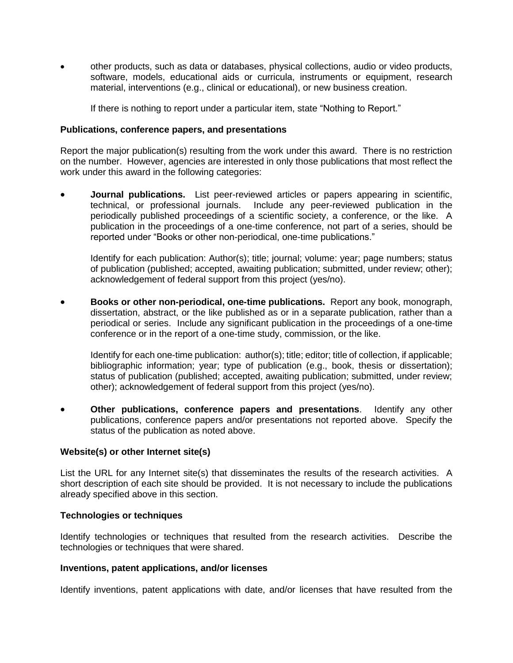other products, such as data or databases, physical collections, audio or video products, software, models, educational aids or curricula, instruments or equipment, research material, interventions (e.g., clinical or educational), or new business creation.

If there is nothing to report under a particular item, state "Nothing to Report."

### **Publications, conference papers, and presentations**

Report the major publication(s) resulting from the work under this award. There is no restriction on the number. However, agencies are interested in only those publications that most reflect the work under this award in the following categories:

 **Journal publications.** List peer-reviewed articles or papers appearing in scientific, technical, or professional journals. Include any peer-reviewed publication in the periodically published proceedings of a scientific society, a conference, or the like. A publication in the proceedings of a one-time conference, not part of a series, should be reported under "Books or other non-periodical, one-time publications."

Identify for each publication: Author(s); title; journal; volume: year; page numbers; status of publication (published; accepted, awaiting publication; submitted, under review; other); acknowledgement of federal support from this project (yes/no).

 **Books or other non-periodical, one-time publications.** Report any book, monograph, dissertation, abstract, or the like published as or in a separate publication, rather than a periodical or series. Include any significant publication in the proceedings of a one-time conference or in the report of a one-time study, commission, or the like.

Identify for each one-time publication: author(s); title; editor; title of collection, if applicable; bibliographic information; year; type of publication (e.g., book, thesis or dissertation); status of publication (published; accepted, awaiting publication; submitted, under review; other); acknowledgement of federal support from this project (yes/no).

 **Other publications, conference papers and presentations**. Identify any other publications, conference papers and/or presentations not reported above. Specify the status of the publication as noted above.

## **Website(s) or other Internet site(s)**

List the URL for any Internet site(s) that disseminates the results of the research activities. A short description of each site should be provided. It is not necessary to include the publications already specified above in this section.

#### **Technologies or techniques**

Identify technologies or techniques that resulted from the research activities. Describe the technologies or techniques that were shared.

#### **Inventions, patent applications, and/or licenses**

Identify inventions, patent applications with date, and/or licenses that have resulted from the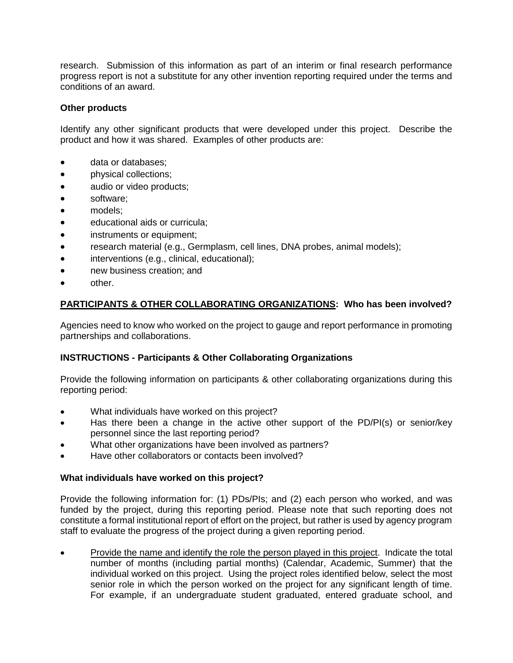research. Submission of this information as part of an interim or final research performance progress report is not a substitute for any other invention reporting required under the terms and conditions of an award.

## **Other products**

Identify any other significant products that were developed under this project. Describe the product and how it was shared. Examples of other products are:

- data or databases;
- **physical collections;**
- audio or video products;
- software;
- models;
- educational aids or curricula;
- instruments or equipment;
- research material (e.g., Germplasm, cell lines, DNA probes, animal models);
- interventions (e.g., clinical, educational);
- new business creation; and
- other.

## **PARTICIPANTS & OTHER COLLABORATING ORGANIZATIONS: Who has been involved?**

Agencies need to know who worked on the project to gauge and report performance in promoting partnerships and collaborations.

## **INSTRUCTIONS - Participants & Other Collaborating Organizations**

Provide the following information on participants & other collaborating organizations during this reporting period:

- What individuals have worked on this project?
- Has there been a change in the active other support of the PD/PI(s) or senior/key personnel since the last reporting period?
- What other organizations have been involved as partners?
- Have other collaborators or contacts been involved?

#### **What individuals have worked on this project?**

Provide the following information for: (1) PDs/PIs; and (2) each person who worked, and was funded by the project, during this reporting period. Please note that such reporting does not constitute a formal institutional report of effort on the project, but rather is used by agency program staff to evaluate the progress of the project during a given reporting period.

 Provide the name and identify the role the person played in this project. Indicate the total number of months (including partial months) (Calendar, Academic, Summer) that the individual worked on this project. Using the project roles identified below, select the most senior role in which the person worked on the project for any significant length of time. For example, if an undergraduate student graduated, entered graduate school, and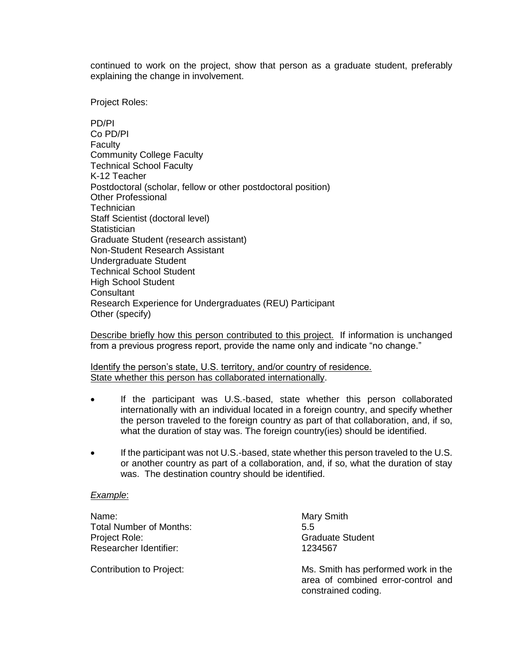continued to work on the project, show that person as a graduate student, preferably explaining the change in involvement.

Project Roles:

PD/PI Co PD/PI **Faculty** Community College Faculty Technical School Faculty K-12 Teacher Postdoctoral (scholar, fellow or other postdoctoral position) Other Professional **Technician** Staff Scientist (doctoral level) **Statistician** Graduate Student (research assistant) Non-Student Research Assistant Undergraduate Student Technical School Student High School Student **Consultant** Research Experience for Undergraduates (REU) Participant Other (specify)

Describe briefly how this person contributed to this project. If information is unchanged from a previous progress report, provide the name only and indicate "no change."

Identify the person's state, U.S. territory, and/or country of residence. State whether this person has collaborated internationally.

- If the participant was U.S.-based, state whether this person collaborated internationally with an individual located in a foreign country, and specify whether the person traveled to the foreign country as part of that collaboration, and, if so, what the duration of stay was. The foreign country(ies) should be identified.
- If the participant was not U.S.-based, state whether this person traveled to the U.S. or another country as part of a collaboration, and, if so, what the duration of stay was. The destination country should be identified.

#### *Example*:

Name: Name: Name: Name: Name: Name: Name: Name: Name: Name: Name: Name: Name: Name: Name: Name: Name: Name: Name: Name: Name: Name: Name: Name: Name: Name: Name: Name: Name: Name: Name: Name: Name: Name: Name: Name: Name: Total Number of Months: 5.5 Project Role: Calculate Student Controllering Controllering Controllering Controllering Controllering Controllering Controllering Controllering Controllering Controllering Controllering Controllering Controllering Controll Researcher Identifier: 1234567

Contribution to Project: Ms. Smith has performed work in the area of combined error-control and constrained coding.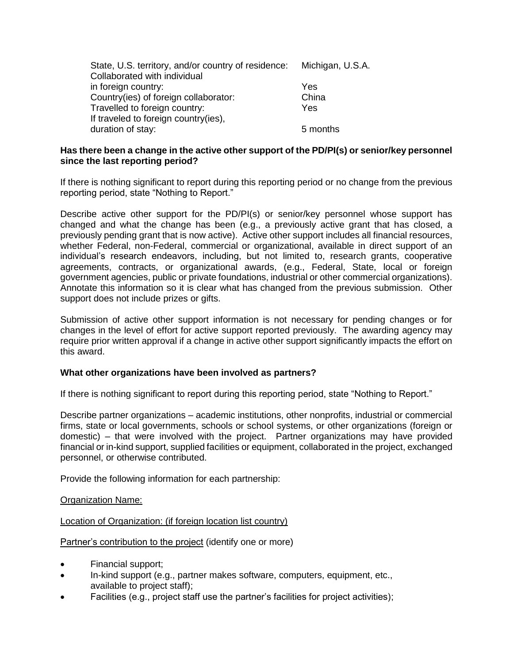| State, U.S. territory, and/or country of residence: Michigan, U.S.A. |          |
|----------------------------------------------------------------------|----------|
| Collaborated with individual                                         |          |
| in foreign country:                                                  | Yes      |
| Country(ies) of foreign collaborator:                                | China    |
| Travelled to foreign country:                                        | Yes      |
| If traveled to foreign country(ies),                                 |          |
| duration of stay:                                                    | 5 months |

## **Has there been a change in the active other support of the PD/PI(s) or senior/key personnel since the last reporting period?**

If there is nothing significant to report during this reporting period or no change from the previous reporting period, state "Nothing to Report."

Describe active other support for the PD/PI(s) or senior/key personnel whose support has changed and what the change has been (e.g., a previously active grant that has closed, a previously pending grant that is now active). Active other support includes all financial resources, whether Federal, non-Federal, commercial or organizational, available in direct support of an individual's research endeavors, including, but not limited to, research grants, cooperative agreements, contracts, or organizational awards, (e.g., Federal, State, local or foreign government agencies, public or private foundations, industrial or other commercial organizations). Annotate this information so it is clear what has changed from the previous submission. Other support does not include prizes or gifts.

Submission of active other support information is not necessary for pending changes or for changes in the level of effort for active support reported previously. The awarding agency may require prior written approval if a change in active other support significantly impacts the effort on this award.

## **What other organizations have been involved as partners?**

If there is nothing significant to report during this reporting period, state "Nothing to Report."

Describe partner organizations – academic institutions, other nonprofits, industrial or commercial firms, state or local governments, schools or school systems, or other organizations (foreign or domestic) – that were involved with the project. Partner organizations may have provided financial or in-kind support, supplied facilities or equipment, collaborated in the project, exchanged personnel, or otherwise contributed.

Provide the following information for each partnership:

#### Organization Name:

#### Location of Organization: (if foreign location list country)

Partner's contribution to the project (identify one or more)

- Financial support;
- In-kind support (e.g., partner makes software, computers, equipment, etc., available to project staff);
- Facilities (e.g., project staff use the partner's facilities for project activities);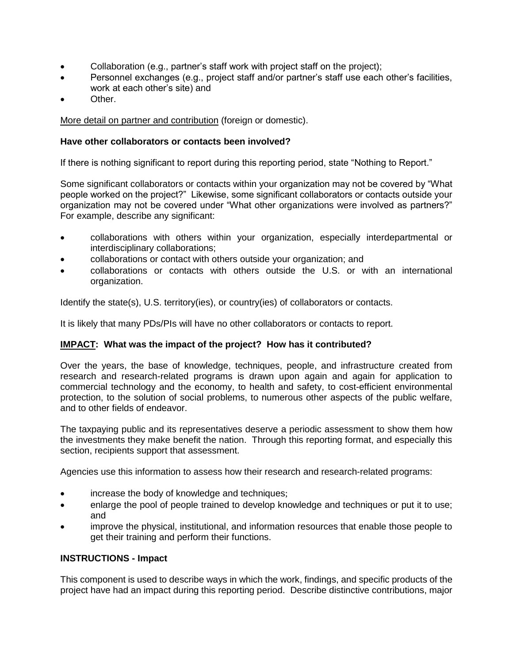- Collaboration (e.g., partner's staff work with project staff on the project);
- Personnel exchanges (e.g., project staff and/or partner's staff use each other's facilities, work at each other's site) and
- Other.

More detail on partner and contribution (foreign or domestic).

## **Have other collaborators or contacts been involved?**

If there is nothing significant to report during this reporting period, state "Nothing to Report."

Some significant collaborators or contacts within your organization may not be covered by "What people worked on the project?" Likewise, some significant collaborators or contacts outside your organization may not be covered under "What other organizations were involved as partners?" For example, describe any significant:

- collaborations with others within your organization, especially interdepartmental or interdisciplinary collaborations;
- collaborations or contact with others outside your organization; and
- collaborations or contacts with others outside the U.S. or with an international organization.

Identify the state(s), U.S. territory(ies), or country(ies) of collaborators or contacts.

It is likely that many PDs/PIs will have no other collaborators or contacts to report.

## **IMPACT: What was the impact of the project? How has it contributed?**

Over the years, the base of knowledge, techniques, people, and infrastructure created from research and research-related programs is drawn upon again and again for application to commercial technology and the economy, to health and safety, to cost-efficient environmental protection, to the solution of social problems, to numerous other aspects of the public welfare, and to other fields of endeavor.

The taxpaying public and its representatives deserve a periodic assessment to show them how the investments they make benefit the nation. Through this reporting format, and especially this section, recipients support that assessment.

Agencies use this information to assess how their research and research-related programs:

- increase the body of knowledge and techniques;
- enlarge the pool of people trained to develop knowledge and techniques or put it to use; and
- improve the physical, institutional, and information resources that enable those people to get their training and perform their functions.

## **INSTRUCTIONS - Impact**

This component is used to describe ways in which the work, findings, and specific products of the project have had an impact during this reporting period. Describe distinctive contributions, major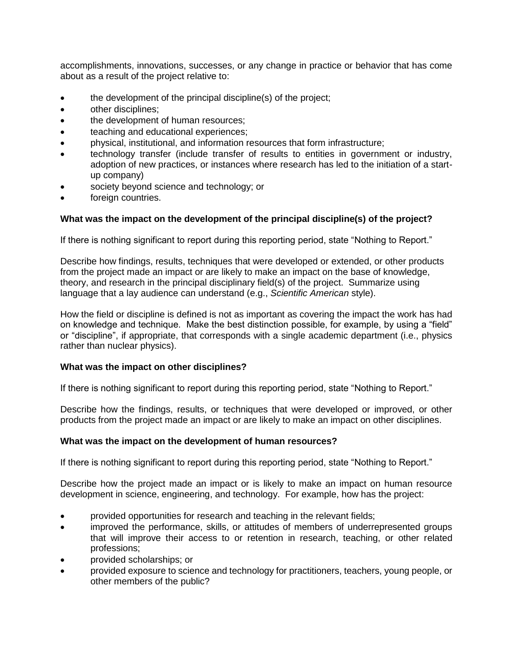accomplishments, innovations, successes, or any change in practice or behavior that has come about as a result of the project relative to:

- the development of the principal discipline(s) of the project;
- other disciplines;
- the development of human resources;
- **•** teaching and educational experiences;
- physical, institutional, and information resources that form infrastructure;
- technology transfer (include transfer of results to entities in government or industry, adoption of new practices, or instances where research has led to the initiation of a startup company)
- society beyond science and technology; or
- foreign countries.

#### **What was the impact on the development of the principal discipline(s) of the project?**

If there is nothing significant to report during this reporting period, state "Nothing to Report."

Describe how findings, results, techniques that were developed or extended, or other products from the project made an impact or are likely to make an impact on the base of knowledge, theory, and research in the principal disciplinary field(s) of the project. Summarize using language that a lay audience can understand (e.g., *Scientific American* style).

How the field or discipline is defined is not as important as covering the impact the work has had on knowledge and technique. Make the best distinction possible, for example, by using a "field" or "discipline", if appropriate, that corresponds with a single academic department (i.e., physics rather than nuclear physics).

#### **What was the impact on other disciplines?**

If there is nothing significant to report during this reporting period, state "Nothing to Report."

Describe how the findings, results, or techniques that were developed or improved, or other products from the project made an impact or are likely to make an impact on other disciplines.

#### **What was the impact on the development of human resources?**

If there is nothing significant to report during this reporting period, state "Nothing to Report."

Describe how the project made an impact or is likely to make an impact on human resource development in science, engineering, and technology. For example, how has the project:

- provided opportunities for research and teaching in the relevant fields;
- improved the performance, skills, or attitudes of members of underrepresented groups that will improve their access to or retention in research, teaching, or other related professions;
- provided scholarships; or
- provided exposure to science and technology for practitioners, teachers, young people, or other members of the public?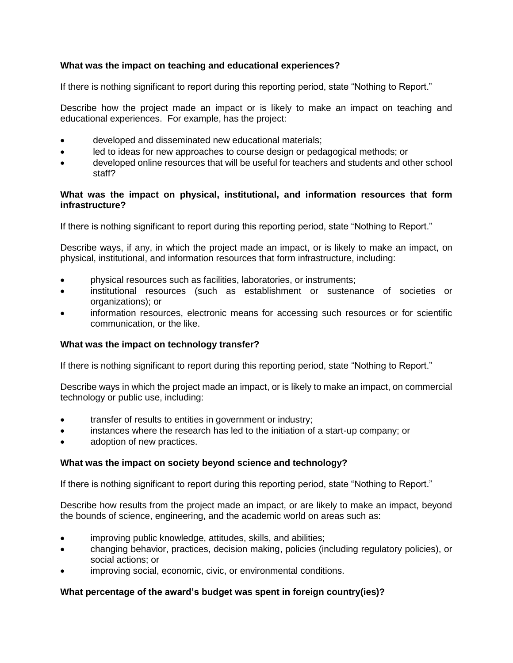## **What was the impact on teaching and educational experiences?**

If there is nothing significant to report during this reporting period, state "Nothing to Report."

Describe how the project made an impact or is likely to make an impact on teaching and educational experiences. For example, has the project:

- developed and disseminated new educational materials;
- led to ideas for new approaches to course design or pedagogical methods; or
- developed online resources that will be useful for teachers and students and other school staff?

## **What was the impact on physical, institutional, and information resources that form infrastructure?**

If there is nothing significant to report during this reporting period, state "Nothing to Report."

Describe ways, if any, in which the project made an impact, or is likely to make an impact, on physical, institutional, and information resources that form infrastructure, including:

- physical resources such as facilities, laboratories, or instruments;
- institutional resources (such as establishment or sustenance of societies or organizations); or
- information resources, electronic means for accessing such resources or for scientific communication, or the like.

## **What was the impact on technology transfer?**

If there is nothing significant to report during this reporting period, state "Nothing to Report."

Describe ways in which the project made an impact, or is likely to make an impact, on commercial technology or public use, including:

- transfer of results to entities in government or industry;
- instances where the research has led to the initiation of a start-up company; or
- adoption of new practices.

## **What was the impact on society beyond science and technology?**

If there is nothing significant to report during this reporting period, state "Nothing to Report."

Describe how results from the project made an impact, or are likely to make an impact, beyond the bounds of science, engineering, and the academic world on areas such as:

- improving public knowledge, attitudes, skills, and abilities;
- changing behavior, practices, decision making, policies (including regulatory policies), or social actions; or
- improving social, economic, civic, or environmental conditions.

## **What percentage of the award's budget was spent in foreign country(ies)?**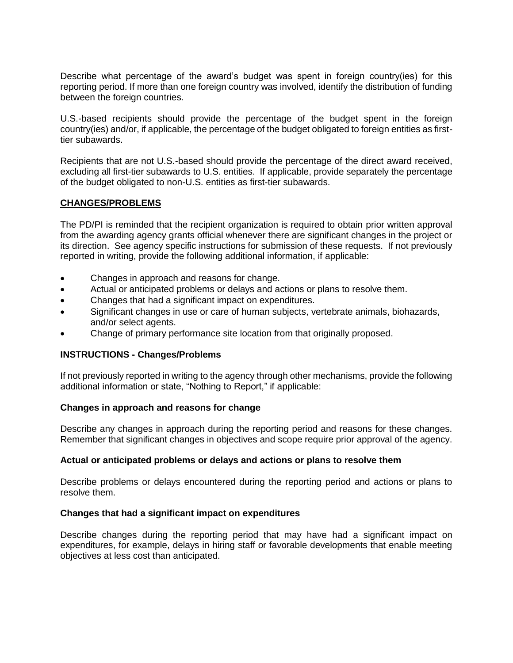Describe what percentage of the award's budget was spent in foreign country(ies) for this reporting period. If more than one foreign country was involved, identify the distribution of funding between the foreign countries.

U.S.-based recipients should provide the percentage of the budget spent in the foreign country(ies) and/or, if applicable, the percentage of the budget obligated to foreign entities as firsttier subawards.

Recipients that are not U.S.-based should provide the percentage of the direct award received, excluding all first-tier subawards to U.S. entities. If applicable, provide separately the percentage of the budget obligated to non-U.S. entities as first-tier subawards.

### **CHANGES/PROBLEMS**

The PD/PI is reminded that the recipient organization is required to obtain prior written approval from the awarding agency grants official whenever there are significant changes in the project or its direction. See agency specific instructions for submission of these requests. If not previously reported in writing, provide the following additional information, if applicable:

- Changes in approach and reasons for change.
- Actual or anticipated problems or delays and actions or plans to resolve them.
- Changes that had a significant impact on expenditures.
- Significant changes in use or care of human subjects, vertebrate animals, biohazards, and/or select agents.
- Change of primary performance site location from that originally proposed.

#### **INSTRUCTIONS - Changes/Problems**

If not previously reported in writing to the agency through other mechanisms, provide the following additional information or state, "Nothing to Report," if applicable:

#### **Changes in approach and reasons for change**

Describe any changes in approach during the reporting period and reasons for these changes. Remember that significant changes in objectives and scope require prior approval of the agency.

#### **Actual or anticipated problems or delays and actions or plans to resolve them**

Describe problems or delays encountered during the reporting period and actions or plans to resolve them.

#### **Changes that had a significant impact on expenditures**

Describe changes during the reporting period that may have had a significant impact on expenditures, for example, delays in hiring staff or favorable developments that enable meeting objectives at less cost than anticipated.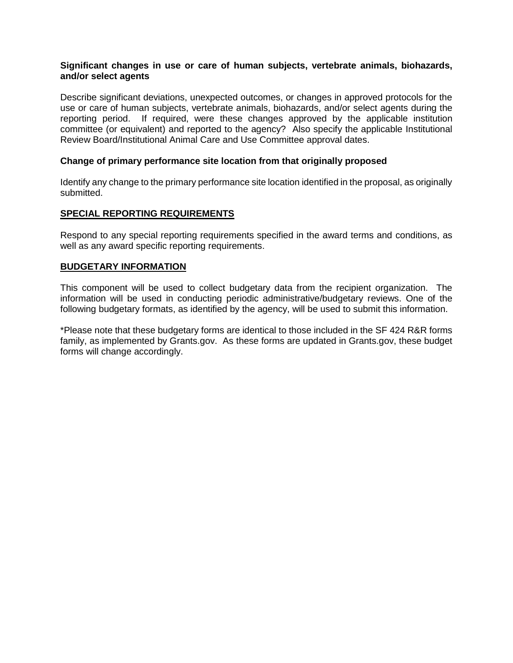### **Significant changes in use or care of human subjects, vertebrate animals, biohazards, and/or select agents**

Describe significant deviations, unexpected outcomes, or changes in approved protocols for the use or care of human subjects, vertebrate animals, biohazards, and/or select agents during the reporting period. If required, were these changes approved by the applicable institution committee (or equivalent) and reported to the agency? Also specify the applicable Institutional Review Board/Institutional Animal Care and Use Committee approval dates.

## **Change of primary performance site location from that originally proposed**

Identify any change to the primary performance site location identified in the proposal, as originally submitted.

### **SPECIAL REPORTING REQUIREMENTS**

Respond to any special reporting requirements specified in the award terms and conditions, as well as any award specific reporting requirements.

### **BUDGETARY INFORMATION**

This component will be used to collect budgetary data from the recipient organization. The information will be used in conducting periodic administrative/budgetary reviews. One of the following budgetary formats, as identified by the agency, will be used to submit this information.

\*Please note that these budgetary forms are identical to those included in the SF 424 R&R forms family, as implemented by Grants.gov. As these forms are updated in Grants.gov, these budget forms will change accordingly.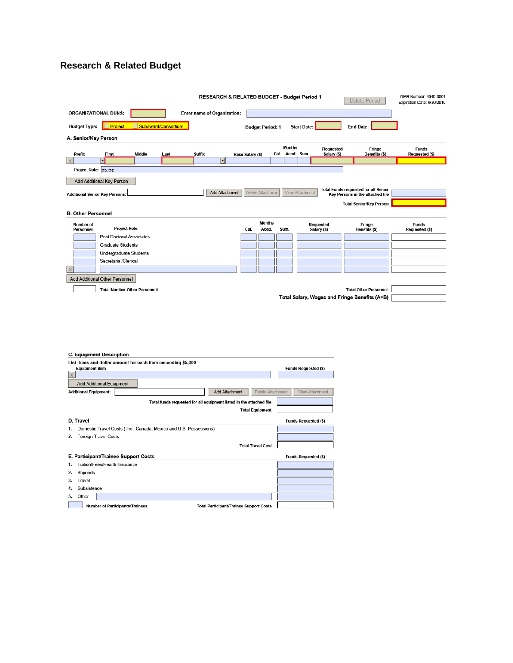# **Research & Related Budget**

|                           |                                       |               |                     |                             | RESEARCH & RELATED BUDGET - Budget Period 1 |                         |                        |                 |                    |                                 | <b>Delete Period</b>                          | OMB Number: 4040-0001<br>Expiration Date: 6/30/2016 |
|---------------------------|---------------------------------------|---------------|---------------------|-----------------------------|---------------------------------------------|-------------------------|------------------------|-----------------|--------------------|---------------------------------|-----------------------------------------------|-----------------------------------------------------|
|                           | <b>ORGANIZATIONAL DUNS:</b>           |               |                     | Enter name of Organization: |                                             |                         |                        |                 |                    |                                 |                                               |                                                     |
| <b>Budget Type:</b>       | <b>Project</b>                        |               | Subaward/Consortium |                             |                                             | <b>Budget Period: 1</b> |                        |                 | <b>Start Date:</b> |                                 | <b>End Date:</b>                              |                                                     |
| A. Senior/Key Person      |                                       |               |                     |                             |                                             |                         |                        |                 |                    |                                 |                                               |                                                     |
|                           |                                       |               |                     |                             |                                             |                         |                        | <b>Months</b>   |                    | <b>Requested</b>                | Fringe                                        | <b>Funds</b>                                        |
| Prefix                    | First                                 | <b>Middle</b> | Last                | <b>Suffix</b>               |                                             | Base Salary (\$)        |                        | Cal. Acad. Sum. |                    | Salary (\$)                     | Benefits (\$)                                 | Requested (\$)                                      |
| $\times$                  | $\overline{\phantom{0}}$              |               |                     |                             | न                                           |                         |                        |                 |                    |                                 |                                               |                                                     |
| Project Role: PD/PI       |                                       |               |                     |                             |                                             |                         |                        |                 |                    |                                 |                                               |                                                     |
|                           | Add Additional Key Person             |               |                     |                             |                                             |                         |                        |                 |                    |                                 |                                               |                                                     |
|                           |                                       |               |                     |                             |                                             |                         |                        |                 |                    |                                 | <b>Total Funds requested for all Senior</b>   |                                                     |
|                           | <b>Additional Senior Key Persons:</b> |               |                     |                             | <b>Add Attachment</b>                       | Delete Attachment       |                        |                 | View Attachment    |                                 | Key Persons in the attached file              |                                                     |
|                           |                                       |               |                     |                             |                                             |                         |                        |                 |                    |                                 | <b>Total Senior/Key Person</b>                |                                                     |
| <b>B. Other Personnel</b> |                                       |               |                     |                             |                                             |                         |                        |                 |                    |                                 |                                               |                                                     |
| Number of<br>Personnel    | <b>Project Role</b>                   |               |                     |                             |                                             | Cal.                    | <b>Months</b><br>Acad. | Sum.            |                    | <b>Requested</b><br>Salary (\$) | Fringe<br>Benefits (\$)                       | <b>Funds</b><br>Requested (\$)                      |
|                           | <b>Post Doctoral Associates</b>       |               |                     |                             |                                             |                         |                        |                 |                    |                                 |                                               |                                                     |
|                           | <b>Graduate Students</b>              |               |                     |                             |                                             |                         |                        |                 |                    |                                 |                                               |                                                     |
|                           |                                       |               |                     |                             |                                             |                         |                        |                 |                    |                                 |                                               |                                                     |
|                           | Undergraduate Students                |               |                     |                             |                                             |                         |                        |                 |                    |                                 |                                               |                                                     |
|                           | Secretarial/Clerical                  |               |                     |                             |                                             |                         |                        |                 |                    |                                 |                                               |                                                     |
|                           |                                       |               |                     |                             |                                             |                         |                        |                 |                    |                                 |                                               |                                                     |
|                           | Add Additional Other Personnel        |               |                     |                             |                                             |                         |                        |                 |                    |                                 |                                               |                                                     |
|                           | <b>Total Number Other Personnel</b>   |               |                     |                             |                                             |                         |                        |                 |                    |                                 | <b>Total Other Personnel</b>                  |                                                     |
|                           |                                       |               |                     |                             |                                             |                         |                        |                 |                    |                                 |                                               |                                                     |
|                           |                                       |               |                     |                             |                                             |                         |                        |                 |                    |                                 | Total Salary, Wages and Fringe Benefits (A+B) |                                                     |

| <b>C. Equipment Description</b>                                                          |                                      |
|------------------------------------------------------------------------------------------|--------------------------------------|
| List items and dollar amount for each item exceeding \$5,000                             |                                      |
| <b>Equipment item</b>                                                                    | <b>Funds Requested (\$)</b>          |
| $\mathsf{X}$                                                                             |                                      |
| <b>Add Additional Equipment</b>                                                          |                                      |
| <b>Add Attachment</b><br><b>Additional Equipment:</b>                                    | Delete Attachment<br>View Attachment |
| Total funds requested for all equipment listed in the attached file                      |                                      |
| <b>Total Equipment</b>                                                                   |                                      |
| D. Travel                                                                                | <b>Funds Requested (\$)</b>          |
| Domestic Travel Costs (Incl. Canada, Mexico and U.S. Possessions)                        |                                      |
| Foreign Travel Costs<br>2.                                                               |                                      |
| <b>Total Travel Cost</b>                                                                 |                                      |
| E. Participant/Trainee Support Costs                                                     | <b>Funds Requested (\$)</b>          |
| Tuition/Fees/Health Insurance                                                            |                                      |
| <b>Stipends</b><br>2.                                                                    |                                      |
| 3.<br>Travel                                                                             |                                      |
| Subsistence<br>4.                                                                        |                                      |
| Other<br>5.                                                                              |                                      |
| <b>Number of Participants/Trainees</b><br><b>Total Participant/Trainee Support Costs</b> |                                      |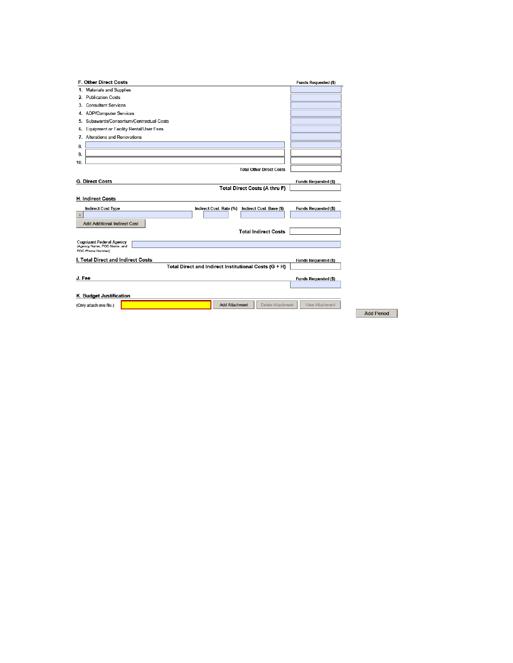| F. Other Direct Costs                                                       | <b>Funds Requested (\$)</b> |
|-----------------------------------------------------------------------------|-----------------------------|
| 1. Materials and Supplies                                                   |                             |
| 2. Publication Costs                                                        |                             |
| 3. Consultant Services                                                      |                             |
| 4. ADP/Computer Services                                                    |                             |
| Subawards/Consortium/Contractual Costs<br>5.                                |                             |
| Equipment or Facility Rental/User Fees<br>6.                                |                             |
| 7. Alterations and Renovations                                              |                             |
| 8.                                                                          |                             |
| 9.                                                                          |                             |
| 10.                                                                         |                             |
| <b>Total Other Direct Costs</b>                                             |                             |
|                                                                             |                             |
| G. Direct Costs<br>Total Direct Costs (A thru F)                            | <b>Funds Requested (\$)</b> |
|                                                                             |                             |
| <b>H. Indirect Costs</b>                                                    |                             |
| <b>Indirect Cost Type</b><br>Indirect Cost Rate (%) Indirect Cost Base (\$) | <b>Funds Requested (\$)</b> |
| X                                                                           |                             |
| <b>Add Additional Indirect Cost</b>                                         |                             |
| <b>Total Indirect Costs</b>                                                 |                             |
| <b>Cognizant Federal Agency</b>                                             |                             |
| (Agency Name, POC Name, and<br>POC Phone Number)                            |                             |
| I. Total Direct and Indirect Costs                                          |                             |
| Total Direct and Indirect Institutional Costs (G + H)                       | <b>Funds Requested (\$)</b> |
|                                                                             |                             |
| J. Fee                                                                      | <b>Funds Requested (\$)</b> |
|                                                                             |                             |
| K. Budget Justification                                                     |                             |
| <b>Add Attachment</b><br>Delete Attachment<br>(Only attach one file.)       | View Attachment             |
|                                                                             |                             |

Add Period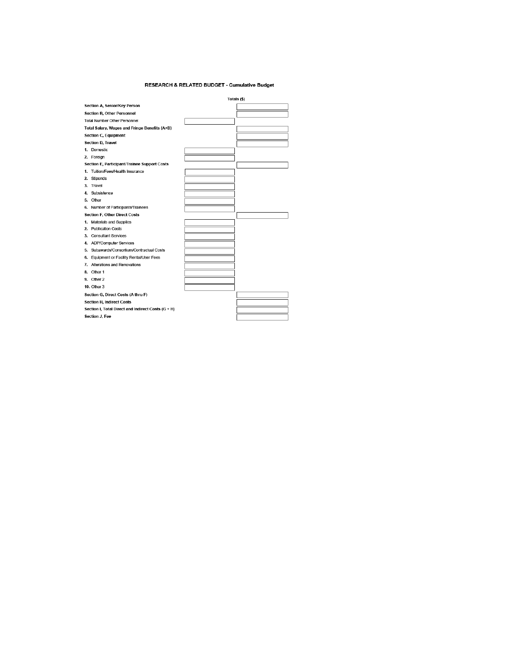#### RESEARCH & RELATED BUDGET - Cumulative Budget

|                                                    | Totals (\$) |
|----------------------------------------------------|-------------|
| Section A, Senior/Key Person                       |             |
| <b>Section B, Other Personnel</b>                  |             |
| <b>Total Number Other Personnel</b>                |             |
| Total Salary, Wages and Fringe Benefits (A+B)      |             |
| <b>Section C, Equipment</b>                        |             |
| <b>Section D. Travel</b>                           |             |
| 1. Domestic                                        |             |
| 2. Foreign                                         |             |
| Section E, Participant/Trainee Support Costs       |             |
| 1. Tuition/Fees/Health Insurance                   |             |
| 2. Stipends                                        |             |
| 3. Travel                                          |             |
| 4. Subsistence                                     |             |
| 5. Other                                           |             |
| 6. Number of Participants/Trainees                 |             |
| <b>Section F, Other Direct Costs</b>               |             |
| 1. Materials and Supplies                          |             |
| 2. Publication Costs                               |             |
| 3. Consultant Services                             |             |
| 4. ADP/Computer Services                           |             |
| 5. Subawards/Consortium/Contractual Costs          |             |
| 6. Equipment or Facility Rental/User Fees          |             |
| 7. Alterations and Renovations                     |             |
| 8. Other 1                                         |             |
| 9. Other 2                                         |             |
| <b>10. Other 3</b>                                 |             |
| Section G, Direct Costs (A thru F)                 |             |
| <b>Section H, Indirect Costs</b>                   |             |
| Section I, Total Direct and Indirect Costs (G + H) |             |
| Section J, Fee                                     |             |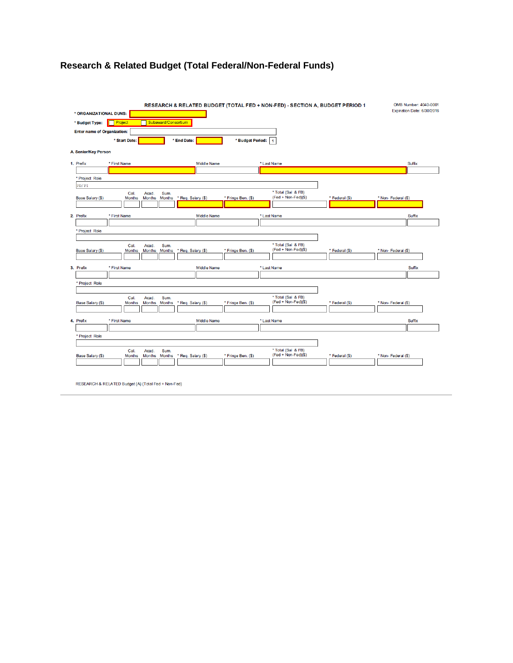# **Research & Related Budget (Total Federal/Non-Federal Funds)**

| * ORGANIZATIONAL DUNS:             |                       |                                                 |                       |                    | RESEARCH & RELATED BUDGET (TOTAL FED + NON-FED) - SECTION A, BUDGET PERIOD 1 |                | OMB Number: 4040-0001<br>Expiration Date: 6/30/2016 |
|------------------------------------|-----------------------|-------------------------------------------------|-----------------------|--------------------|------------------------------------------------------------------------------|----------------|-----------------------------------------------------|
| * Budget Type:                     | <b>Project</b>        | Subaward/Consortium                             |                       |                    |                                                                              |                |                                                     |
| <b>Enter name of Organization:</b> |                       |                                                 |                       |                    |                                                                              |                |                                                     |
|                                    | * Start Date:         |                                                 | * End Date:           |                    |                                                                              |                |                                                     |
|                                    |                       |                                                 |                       | * Budget Period:   | 1                                                                            |                |                                                     |
| <b>A. Senior/Key Person</b>        |                       |                                                 |                       |                    |                                                                              |                |                                                     |
| 1. Prefix                          | * First Name          |                                                 | <b>Middle Name</b>    |                    | * Last Name                                                                  |                | Suffix                                              |
|                                    |                       |                                                 |                       |                    |                                                                              |                |                                                     |
| * Project Role                     |                       |                                                 |                       |                    |                                                                              |                |                                                     |
| PD/PI                              |                       |                                                 |                       |                    |                                                                              |                |                                                     |
| Base Salary (\$)                   | Cal.<br><b>Months</b> | Acad.<br>Sum.<br><b>Months</b><br><b>Months</b> | Req. Salary (\$)<br>٠ | * Fringe Ben. (\$) | * Total (Sal & FB)<br>(Fed + Non-Fed)(\$)                                    | * Federal (\$) | * Non-Federal (\$)                                  |
|                                    |                       |                                                 |                       |                    |                                                                              |                |                                                     |
|                                    |                       |                                                 |                       |                    |                                                                              |                |                                                     |
| 2. Prefix                          | * First Name          |                                                 | <b>Middle Name</b>    |                    | * Last Name                                                                  |                | Suffix                                              |
|                                    |                       |                                                 |                       |                    |                                                                              |                |                                                     |
| * Project Role                     |                       |                                                 |                       |                    |                                                                              |                |                                                     |
|                                    | Cal.                  | Sum.<br>Acad.                                   |                       |                    | * Total (Sal & FB)                                                           |                |                                                     |
| Base Salary (\$)                   | <b>Months</b>         | <b>Months</b><br><b>Months</b>                  | Req. Salary (\$)      | * Fringe Ben. (\$) | $(Fed + Non-Fed)(\$)$                                                        | * Federal (\$) | * Non-Federal (\$)                                  |
|                                    |                       |                                                 |                       |                    |                                                                              |                |                                                     |
| 3. Prefix                          | * First Name          |                                                 | <b>Middle Name</b>    |                    | * Last Name                                                                  |                | Suffix                                              |
|                                    |                       |                                                 |                       |                    |                                                                              |                |                                                     |
| * Project Role                     |                       |                                                 |                       |                    |                                                                              |                |                                                     |
|                                    |                       |                                                 |                       |                    |                                                                              |                |                                                     |
|                                    | Cal.                  | Sum.<br>Acad.                                   |                       |                    | * Total (Sal & FB)                                                           |                |                                                     |
| Base Salary (\$)                   | <b>Months</b>         | <b>Months</b><br><b>Months</b>                  | Req. Salary (\$)<br>٠ | * Fringe Ben. (\$) | $(Fed + Non-Fed)(\$)$                                                        | * Federal (\$) | * Non-Federal (\$)                                  |
|                                    |                       |                                                 |                       |                    |                                                                              |                |                                                     |
| 4. Prefix                          | * First Name          |                                                 | <b>Middle Name</b>    |                    | * Last Name                                                                  |                | Suffix                                              |
|                                    |                       |                                                 |                       |                    |                                                                              |                |                                                     |
| * Project Role                     |                       |                                                 |                       |                    |                                                                              |                |                                                     |
|                                    |                       |                                                 |                       |                    |                                                                              |                |                                                     |
|                                    | Cal.                  | Sum.<br>Acad.                                   |                       |                    | * Total (Sal & FB)                                                           |                |                                                     |
| Base Salary (\$)                   | <b>Months</b>         | <b>Months</b><br><b>Months</b>                  | Req. Salary (\$)<br>ż | * Fringe Ben. (\$) | (Fed + Non-Fed)(\$)                                                          | * Federal (\$) | * Non-Federal (\$)                                  |
|                                    |                       |                                                 |                       |                    |                                                                              |                |                                                     |
|                                    |                       |                                                 |                       |                    |                                                                              |                |                                                     |

RESEARCH & RELATED Budget {A} (Total Fed + Non-Fed)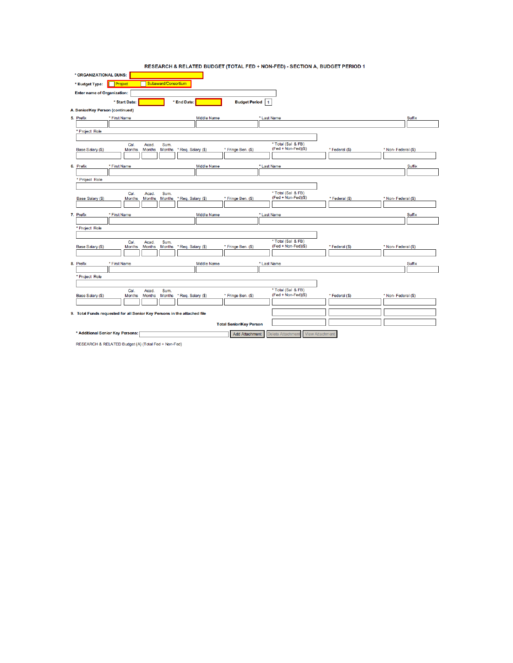| * ORGANIZATIONAL DUNS:             |                                  |                                                                          |                    |                                |                |                                           |                |                    |        |
|------------------------------------|----------------------------------|--------------------------------------------------------------------------|--------------------|--------------------------------|----------------|-------------------------------------------|----------------|--------------------|--------|
| * Budget Type:                     | Project                          | Subaward/Consortium                                                      |                    |                                |                |                                           |                |                    |        |
| <b>Enter name of Organization:</b> |                                  |                                                                          |                    |                                |                |                                           |                |                    |        |
|                                    | * Start Date:                    |                                                                          | * End Date:        | <b>Budget Period</b>           | $\overline{1}$ |                                           |                |                    |        |
| A. Senior/Key Person (continued)   |                                  |                                                                          |                    |                                |                |                                           |                |                    |        |
| 5. Prefix                          | * First Name                     |                                                                          | <b>Middle Name</b> |                                | * Last Name    |                                           |                |                    | Suffix |
|                                    |                                  |                                                                          |                    |                                |                |                                           |                |                    |        |
| * Project Role                     |                                  |                                                                          |                    |                                |                |                                           |                |                    |        |
|                                    | Cal.                             | Acad.<br>Sum.                                                            |                    |                                |                | * Total (Sal & FB)                        |                |                    |        |
| Base Salary (\$)                   | <b>Months</b>                    | <b>Months</b><br><b>Months</b>                                           | * Req. Salary (\$) | * Fringe Ben. (\$)             |                | $(Fed + Non-Fed)(\$)$                     | * Federal (\$) | * Non-Federal (\$) |        |
|                                    |                                  |                                                                          |                    |                                |                |                                           |                |                    |        |
| 6. Prefix                          | * First Name                     |                                                                          | <b>Middle Name</b> |                                | * Last Name    |                                           |                |                    | Suffix |
|                                    |                                  |                                                                          |                    |                                |                |                                           |                |                    |        |
| * Project Role                     |                                  |                                                                          |                    |                                |                |                                           |                |                    |        |
|                                    | Cal.                             | Acad.<br>Sum.                                                            |                    |                                |                | * Total (Sal & FB)                        |                |                    |        |
| Base Salary (\$)                   | <b>Months</b>                    | Months<br>Months                                                         | * Req. Salary (\$) | * Fringe Ben. (\$)             |                | $(Fed + Non-Fed)(\$)$                     | * Federal (\$) | * Non-Federal (\$) |        |
|                                    |                                  |                                                                          |                    |                                |                |                                           |                |                    |        |
| 7. Prefix                          | * First Name                     |                                                                          | <b>Middle Name</b> |                                | * Last Name    |                                           |                |                    | Suffix |
|                                    |                                  |                                                                          |                    |                                |                |                                           |                |                    |        |
| * Project Role                     |                                  |                                                                          |                    |                                |                |                                           |                |                    |        |
|                                    | Cal.                             | Sum.<br>Acad.                                                            |                    |                                |                | * Total (Sal & FB)                        |                |                    |        |
| Base Salary (\$)                   | <b>Months</b>                    | <b>Months</b><br><b>Months</b>                                           | Req. Salary (\$)   | * Fringe Ben. (\$)             |                | $(Fed + Non-Fed)(\$)$                     | * Federal (\$) | * Non-Federal (\$) |        |
|                                    |                                  |                                                                          |                    |                                |                |                                           |                |                    |        |
| 8. Prefix                          | * First Name                     |                                                                          | <b>Middle Name</b> |                                | * Last Name    |                                           |                |                    | Suffix |
| * Project Role                     |                                  |                                                                          |                    |                                |                |                                           |                |                    |        |
|                                    |                                  |                                                                          |                    |                                |                |                                           |                |                    |        |
|                                    | Cal.                             | Sum.<br>Acad.                                                            |                    |                                |                | * Total (Sal & FB)                        |                |                    |        |
| Base Salary (\$)                   | <b>Months</b>                    | <b>Months</b><br>Months                                                  | * Req. Salary (\$) | * Fringe Ben. (\$)             |                | (Fed + Non-Fed)(\$)                       | * Federal (\$) | * Non-Federal (\$) |        |
|                                    |                                  |                                                                          |                    |                                |                |                                           |                |                    |        |
|                                    |                                  | 9. Total Funds requested for all Senior Key Persons in the attached file |                    |                                |                |                                           |                |                    |        |
|                                    |                                  |                                                                          |                    | <b>Total Senior/Key Person</b> |                |                                           |                |                    |        |
|                                    | * Additional Senior Key Persons: |                                                                          |                    | <b>Add Attachment</b>          |                | <b>View Attachment</b><br>Delete Attachme |                |                    |        |
|                                    |                                  |                                                                          |                    |                                |                |                                           |                |                    |        |

RESEARCH & RELATED BUDGET (TOTAL FED + NON-FED) - SECTION A, BUDGET PERIOD 1

RESEARCH & RELATED Budget {A} (Total Fed + Non-Fed)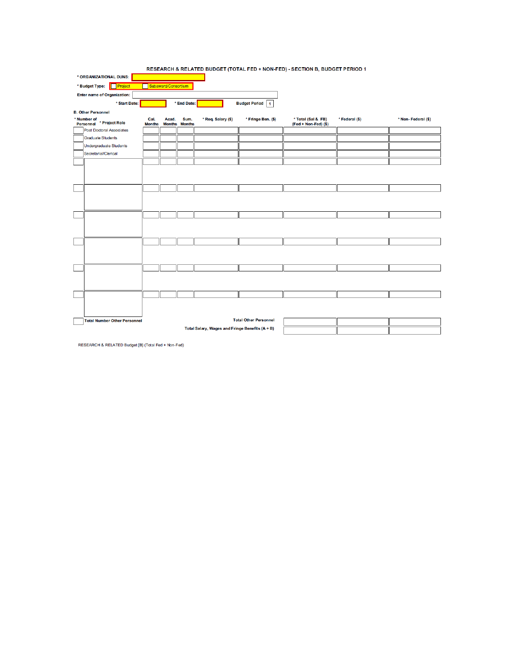| * ORGANIZATIONAL DUNS:                                               | RESEARCH & RELATED BUDGET (TOTAL FED + NON-FED) - SECTION B, BUDGET PERIOD 1 |                        |                       |                    |                              |                                              |                |                    |
|----------------------------------------------------------------------|------------------------------------------------------------------------------|------------------------|-----------------------|--------------------|------------------------------|----------------------------------------------|----------------|--------------------|
| Project                                                              |                                                                              | Subaward/Consortium    |                       |                    |                              |                                              |                |                    |
| * Budget Type:<br><b>Enter name of Organization:</b>                 |                                                                              |                        |                       |                    |                              |                                              |                |                    |
| * Start Date:                                                        |                                                                              |                        |                       |                    | <b>Budget Period</b>         |                                              |                |                    |
|                                                                      |                                                                              |                        | * End Date:           |                    | $\mathbf{1}$                 |                                              |                |                    |
| <b>B. Other Personnel</b><br>* Number of<br>Personnel * Project Role | Cal.<br><b>Months</b>                                                        | Acad.<br><b>Months</b> | Sum.<br><b>Months</b> | * Req. Salary (\$) | * Fringe Ben. (\$)           | * Total (Sal & FB)<br>$(Fed + Non-Fed)$ (\$) | * Federal (\$) | * Non-Federal (\$) |
| <b>Post Doctoral Associates</b>                                      |                                                                              |                        |                       |                    |                              |                                              |                |                    |
| <b>Graduate Students</b>                                             |                                                                              |                        |                       |                    |                              |                                              |                |                    |
| <b>Undergraduate Students</b>                                        |                                                                              |                        |                       |                    |                              |                                              |                |                    |
| <b>Secretarial/Clerical</b>                                          |                                                                              |                        |                       |                    |                              |                                              |                |                    |
|                                                                      |                                                                              |                        |                       |                    |                              |                                              |                |                    |
|                                                                      |                                                                              |                        |                       |                    |                              |                                              |                |                    |
|                                                                      |                                                                              |                        |                       |                    |                              |                                              |                |                    |
|                                                                      |                                                                              |                        |                       |                    |                              |                                              |                |                    |
|                                                                      |                                                                              |                        |                       |                    |                              |                                              |                |                    |
|                                                                      |                                                                              |                        |                       |                    |                              |                                              |                |                    |
|                                                                      |                                                                              |                        |                       |                    |                              |                                              |                |                    |
|                                                                      |                                                                              |                        |                       |                    |                              |                                              |                |                    |
|                                                                      |                                                                              |                        |                       |                    |                              |                                              |                |                    |
|                                                                      |                                                                              |                        |                       |                    |                              |                                              |                |                    |
|                                                                      |                                                                              |                        |                       |                    |                              |                                              |                |                    |
|                                                                      |                                                                              |                        |                       |                    |                              |                                              |                |                    |
| <b>Total Number Other Personnel</b>                                  |                                                                              |                        |                       |                    | <b>Total Other Personnel</b> |                                              |                |                    |
|                                                                      | Total Salary, Wages and Fringe Benefits (A + B)                              |                        |                       |                    |                              |                                              |                |                    |

RESEARCH & RELATED Budget {B} (Total Fed + Non-Fed)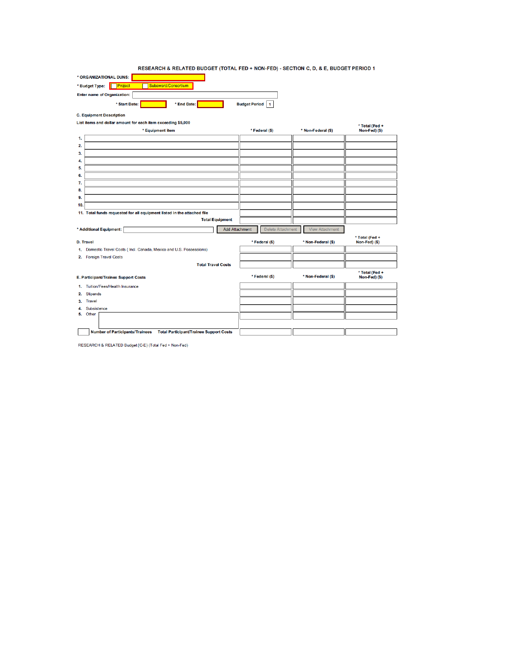| RESEARCH & RELATED BUDGET (TOTAL FED + NON-FED) - SECTION C. D. & E. BUDGET PERIOD 1 |  |  |
|--------------------------------------------------------------------------------------|--|--|

| * ORGANIZATIONAL DUNS:             |                                |             |                        |
|------------------------------------|--------------------------------|-------------|------------------------|
| * Budget Type:                     | Project<br>Subaward/Consortium |             |                        |
| <b>Enter name of Organization:</b> |                                |             |                        |
|                                    | * Start Date:                  | * End Date: | <b>Budget Period</b> 1 |

|  |  | <b>C. Equipment Description</b> |  |
|--|--|---------------------------------|--|
|  |  |                                 |  |

| List items and dollar amount for each item exceeding \$5,000                             |                   |                        | * Total (Fed +                  |
|------------------------------------------------------------------------------------------|-------------------|------------------------|---------------------------------|
| * Equipment item                                                                         | * Federal (\$)    | * Non-Federal (\$)     | Non-Fed) (\$)                   |
| 1.                                                                                       |                   |                        |                                 |
| 2.                                                                                       |                   |                        |                                 |
| 3.                                                                                       |                   |                        |                                 |
| 4.                                                                                       |                   |                        |                                 |
| 5.                                                                                       |                   |                        |                                 |
| 6.                                                                                       |                   |                        |                                 |
| 7.                                                                                       |                   |                        |                                 |
| 8.                                                                                       |                   |                        |                                 |
| 9.                                                                                       |                   |                        |                                 |
| 10.                                                                                      |                   |                        |                                 |
| 11. Total funds requested for all equipment listed in the attached file                  |                   |                        |                                 |
| <b>Total Equipment</b>                                                                   |                   |                        |                                 |
| <b>Add Attachment</b><br>* Additional Equipment:                                         | Delete Attachment | <b>View Attachment</b> |                                 |
| <b>D. Travel</b>                                                                         | * Federal (\$)    | * Non-Federal (\$)     | * Total (Fed +<br>Non-Fed) (\$) |
| 1. Domestic Travel Costs (Incl. Canada, Mexico and U.S. Possessions)                     |                   |                        |                                 |
| 2. Foreign Travel Costs                                                                  |                   |                        |                                 |
| <b>Total Travel Costs</b>                                                                |                   |                        |                                 |
|                                                                                          |                   |                        | * Total (Fed +                  |
| E. Participant/Trainee Support Costs                                                     | * Federal (\$)    | * Non-Federal (\$)     | Non-Fed) (\$)                   |
| 1. Tuition/Fees/Health Insurance                                                         |                   |                        |                                 |
| Stipends<br>2.                                                                           |                   |                        |                                 |
| 3. Travel                                                                                |                   |                        |                                 |
| 4. Subsistence                                                                           |                   |                        |                                 |
| 5. Other                                                                                 |                   |                        |                                 |
|                                                                                          |                   |                        |                                 |
| <b>Number of Participants/Trainees</b><br><b>Total Participant/Trainee Support Costs</b> |                   |                        |                                 |

RESEARCH & RELATED Budget {C-E} (Total Fed + Non-Fed)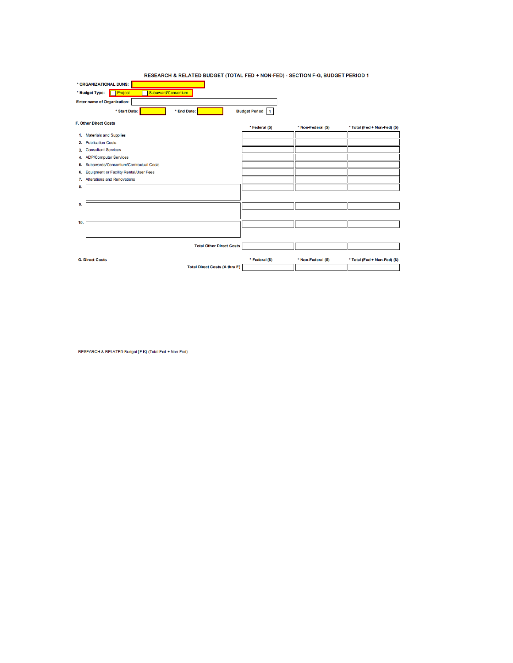|                                                         | RESEARCH & RELATED BUDGET (TOTAL FED + NON-FED) - SECTION F-G, BUDGET PERIOD 1 |                 |                    |                              |
|---------------------------------------------------------|--------------------------------------------------------------------------------|-----------------|--------------------|------------------------------|
| * ORGANIZATIONAL DUNS:                                  |                                                                                |                 |                    |                              |
| Subaward/Consortium<br><b>Project</b><br>* Budget Type: |                                                                                |                 |                    |                              |
| <b>Enter name of Organization:</b>                      |                                                                                |                 |                    |                              |
| * Start Date:<br>* End Date:                            |                                                                                | Budget Period 1 |                    |                              |
| <b>F. Other Direct Costs</b>                            |                                                                                | * Federal (\$)  | * Non-Federal (\$) | * Total (Fed + Non-Fed) (\$) |
| 1. Materials and Supplies                               |                                                                                |                 |                    |                              |
| 2. Publication Costs                                    |                                                                                |                 |                    |                              |
| 3. Consultant Services                                  |                                                                                |                 |                    |                              |
| 4. ADP/Computer Services                                |                                                                                |                 |                    |                              |
| 5. Subawards/Consortium/Contractual Costs               |                                                                                |                 |                    |                              |
| 6. Equipment or Facility Rental/User Fees               |                                                                                |                 |                    |                              |
| 7. Alterations and Renovations                          |                                                                                |                 |                    |                              |
| 8.                                                      |                                                                                |                 |                    |                              |
|                                                         |                                                                                |                 |                    |                              |
| 9.                                                      |                                                                                |                 |                    |                              |
|                                                         |                                                                                |                 |                    |                              |
| 10.                                                     |                                                                                |                 |                    |                              |
|                                                         |                                                                                |                 |                    |                              |
|                                                         | <b>Total Other Direct Costs</b>                                                |                 |                    |                              |
| <b>G. Direct Costs</b>                                  |                                                                                | * Federal (\$)  | * Non-Federal (\$) | * Total (Fed + Non-Fed) (\$) |
|                                                         | <b>Total Direct Costs (A thru F)</b>                                           |                 |                    |                              |

RESEARCH & RELATED Budget {F-K} (Total Fed + Non-Fed)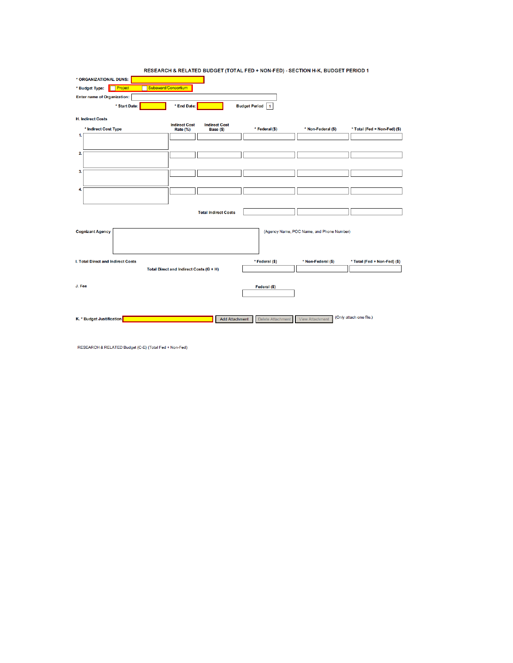|                                    | RESEARCH & RELATED BUDGET (TOTAL FED + NON-FED) - SECTION H-K, BUDGET PERIOD 1 |                                      |                                           |                              |
|------------------------------------|--------------------------------------------------------------------------------|--------------------------------------|-------------------------------------------|------------------------------|
| * ORGANIZATIONAL DUNS:             |                                                                                |                                      |                                           |                              |
| Project<br>* Budget Type:          | Subaward/Consortium                                                            |                                      |                                           |                              |
| <b>Enter name of Organization:</b> |                                                                                |                                      |                                           |                              |
| * Start Date:                      | * End Date:                                                                    | <b>Budget Period</b><br>$\mathbf{1}$ |                                           |                              |
|                                    |                                                                                |                                      |                                           |                              |
| <b>H. Indirect Costs</b>           | <b>Indirect Cost</b><br><b>Indirect Cost</b>                                   |                                      |                                           |                              |
| * Indirect Cost Type<br>1.         | Rate (%)<br>Base (\$)                                                          | * Federal (\$)                       | * Non-Federal (\$)                        | * Total (Fed + Non-Fed) (\$) |
|                                    |                                                                                |                                      |                                           |                              |
|                                    |                                                                                |                                      |                                           |                              |
| 2.                                 |                                                                                |                                      |                                           |                              |
|                                    |                                                                                |                                      |                                           |                              |
| 3.                                 |                                                                                |                                      |                                           |                              |
|                                    |                                                                                |                                      |                                           |                              |
| 4                                  |                                                                                |                                      |                                           |                              |
|                                    |                                                                                |                                      |                                           |                              |
|                                    | <b>Total Indirect Costs</b>                                                    |                                      |                                           |                              |
|                                    |                                                                                |                                      |                                           |                              |
| <b>Cognizant Agency</b>            |                                                                                |                                      | (Agency Name, POC Name, and Phone Number) |                              |
|                                    |                                                                                |                                      |                                           |                              |
|                                    |                                                                                |                                      |                                           |                              |
|                                    |                                                                                |                                      |                                           |                              |
| I. Total Direct and Indirect Costs |                                                                                | * Federal (\$)                       | * Non-Federal (\$)                        | * Total (Fed + Non-Fed) (\$) |
|                                    | Total Direct and Indirect Costs (G + H)                                        |                                      |                                           |                              |
|                                    |                                                                                |                                      |                                           |                              |
| J. Fee                             |                                                                                | Federal (\$)                         |                                           |                              |
|                                    |                                                                                |                                      |                                           |                              |
|                                    |                                                                                |                                      |                                           |                              |
| K. * Budget Justification          | <b>Add Attachment</b>                                                          | Delete Attachment                    | <b>View Attachment</b>                    | (Only attach one file.)      |
|                                    |                                                                                |                                      |                                           |                              |
|                                    |                                                                                |                                      |                                           |                              |

RESEARCH & RELATED Budget {C-E} (Total Fed + Non-Fed)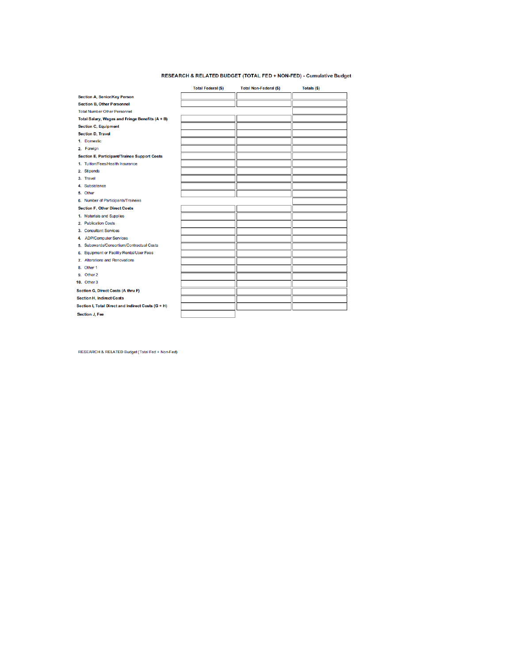#### RESEARCH & RELATED BUDGET (TOTAL FED + NON-FED) - Cumulative Budget

|                                                    | <b>Total Federal (\$)</b> | <b>Total Non-Federal (\$)</b> | Totals (\$) |
|----------------------------------------------------|---------------------------|-------------------------------|-------------|
| <b>Section A, Senior/Key Person</b>                |                           |                               |             |
| <b>Section B, Other Personnel</b>                  |                           |                               |             |
| <b>Total Number Other Personnel</b>                |                           |                               |             |
| Total Salary, Wages and Fringe Benefits (A + B)    |                           |                               |             |
| <b>Section C, Equipment</b>                        |                           |                               |             |
| <b>Section D, Travel</b>                           |                           |                               |             |
| 1. Domestic                                        |                           |                               |             |
| 2. Foreign                                         |                           |                               |             |
| Section E, Participant/Trainee Support Costs       |                           |                               |             |
| 1. Tuition/Fees/Health Insurance                   |                           |                               |             |
| 2. Stipends                                        |                           |                               |             |
| 3. Travel                                          |                           |                               |             |
| 4. Subsistence                                     |                           |                               |             |
| 5. Other                                           |                           |                               |             |
| 6. Number of Participants/Trainees                 |                           |                               |             |
| <b>Section F, Other Direct Costs</b>               |                           |                               |             |
| 1. Materials and Supplies                          |                           |                               |             |
| 2. Publication Costs                               |                           |                               |             |
| 3. Consultant Services                             |                           |                               |             |
| 4. ADP/Computer Services                           |                           |                               |             |
| 5. Subawards/Consortium/Contractual Costs          |                           |                               |             |
| 6. Equipment or Facility Rental/User Fees          |                           |                               |             |
| 7. Alterations and Renovations                     |                           |                               |             |
| 8. Other 1                                         |                           |                               |             |
| 9. Other 2                                         |                           |                               |             |
| <b>10. Other 3</b>                                 |                           |                               |             |
| Section G, Direct Costs (A thru F)                 |                           |                               |             |
| <b>Section H, Indirect Costs</b>                   |                           |                               |             |
| Section I, Total Direct and Indirect Costs (G + H) |                           |                               |             |
| <b>Section J. Fee</b>                              |                           |                               |             |

RESEARCH & RELATED Budget (Total Fed + Non-Fed)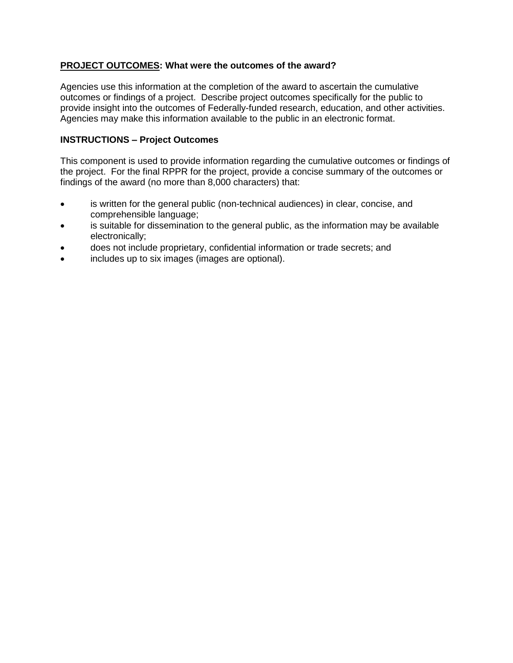## **PROJECT OUTCOMES: What were the outcomes of the award?**

Agencies use this information at the completion of the award to ascertain the cumulative outcomes or findings of a project. Describe project outcomes specifically for the public to provide insight into the outcomes of Federally-funded research, education, and other activities. Agencies may make this information available to the public in an electronic format.

## **INSTRUCTIONS – Project Outcomes**

This component is used to provide information regarding the cumulative outcomes or findings of the project. For the final RPPR for the project, provide a concise summary of the outcomes or findings of the award (no more than 8,000 characters) that:

- is written for the general public (non-technical audiences) in clear, concise, and comprehensible language;
- is suitable for dissemination to the general public, as the information may be available electronically;
- does not include proprietary, confidential information or trade secrets; and
- includes up to six images (images are optional).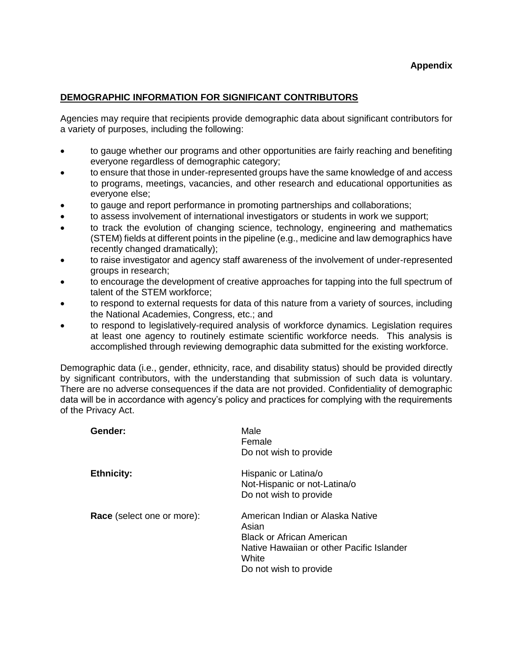## **Appendix**

### **DEMOGRAPHIC INFORMATION FOR SIGNIFICANT CONTRIBUTORS**

Agencies may require that recipients provide demographic data about significant contributors for a variety of purposes, including the following:

- to gauge whether our programs and other opportunities are fairly reaching and benefiting everyone regardless of demographic category;
- to ensure that those in under-represented groups have the same knowledge of and access to programs, meetings, vacancies, and other research and educational opportunities as everyone else;
- to gauge and report performance in promoting partnerships and collaborations;
- to assess involvement of international investigators or students in work we support;
- to track the evolution of changing science, technology, engineering and mathematics (STEM) fields at different points in the pipeline (e.g., medicine and law demographics have recently changed dramatically);
- to raise investigator and agency staff awareness of the involvement of under-represented groups in research;
- to encourage the development of creative approaches for tapping into the full spectrum of talent of the STEM workforce;
- to respond to external requests for data of this nature from a variety of sources, including the National Academies, Congress, etc.; and
- to respond to legislatively-required analysis of workforce dynamics. Legislation requires at least one agency to routinely estimate scientific workforce needs. This analysis is accomplished through reviewing demographic data submitted for the existing workforce.

Demographic data (i.e., gender, ethnicity, race, and disability status) should be provided directly by significant contributors, with the understanding that submission of such data is voluntary. There are no adverse consequences if the data are not provided. Confidentiality of demographic data will be in accordance with agency's policy and practices for complying with the requirements of the Privacy Act.

| Gender:                    | Male<br>Female<br>Do not wish to provide                                                                                                                      |
|----------------------------|---------------------------------------------------------------------------------------------------------------------------------------------------------------|
| <b>Ethnicity:</b>          | Hispanic or Latina/o<br>Not-Hispanic or not-Latina/o<br>Do not wish to provide                                                                                |
| Race (select one or more): | American Indian or Alaska Native<br>Asian<br><b>Black or African American</b><br>Native Hawaiian or other Pacific Islander<br>White<br>Do not wish to provide |